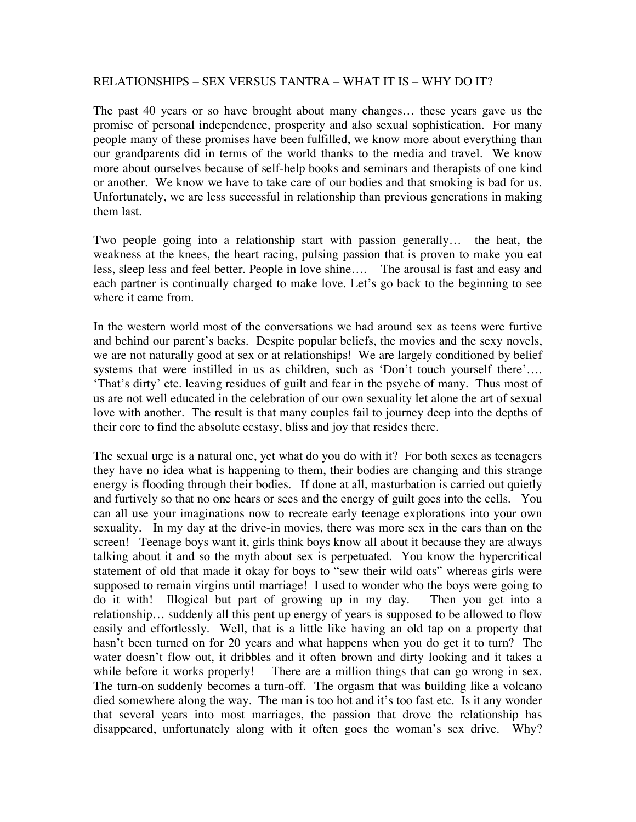## RELATIONSHIPS – SEX VERSUS TANTRA – WHAT IT IS – WHY DO IT?

The past 40 years or so have brought about many changes… these years gave us the promise of personal independence, prosperity and also sexual sophistication. For many people many of these promises have been fulfilled, we know more about everything than our grandparents did in terms of the world thanks to the media and travel. We know more about ourselves because of self-help books and seminars and therapists of one kind or another. We know we have to take care of our bodies and that smoking is bad for us. Unfortunately, we are less successful in relationship than previous generations in making them last.

Two people going into a relationship start with passion generally… the heat, the weakness at the knees, the heart racing, pulsing passion that is proven to make you eat less, sleep less and feel better. People in love shine…. The arousal is fast and easy and each partner is continually charged to make love. Let's go back to the beginning to see where it came from.

In the western world most of the conversations we had around sex as teens were furtive and behind our parent's backs. Despite popular beliefs, the movies and the sexy novels, we are not naturally good at sex or at relationships! We are largely conditioned by belief systems that were instilled in us as children, such as 'Don't touch yourself there'…. 'That's dirty' etc. leaving residues of guilt and fear in the psyche of many. Thus most of us are not well educated in the celebration of our own sexuality let alone the art of sexual love with another. The result is that many couples fail to journey deep into the depths of their core to find the absolute ecstasy, bliss and joy that resides there.

The sexual urge is a natural one, yet what do you do with it? For both sexes as teenagers they have no idea what is happening to them, their bodies are changing and this strange energy is flooding through their bodies. If done at all, masturbation is carried out quietly and furtively so that no one hears or sees and the energy of guilt goes into the cells. You can all use your imaginations now to recreate early teenage explorations into your own sexuality. In my day at the drive-in movies, there was more sex in the cars than on the screen! Teenage boys want it, girls think boys know all about it because they are always talking about it and so the myth about sex is perpetuated. You know the hypercritical statement of old that made it okay for boys to "sew their wild oats" whereas girls were supposed to remain virgins until marriage! I used to wonder who the boys were going to do it with! Illogical but part of growing up in my day. Then you get into a relationship… suddenly all this pent up energy of years is supposed to be allowed to flow easily and effortlessly. Well, that is a little like having an old tap on a property that hasn't been turned on for 20 years and what happens when you do get it to turn? The water doesn't flow out, it dribbles and it often brown and dirty looking and it takes a while before it works properly! There are a million things that can go wrong in sex. The turn-on suddenly becomes a turn-off. The orgasm that was building like a volcano died somewhere along the way. The man is too hot and it's too fast etc. Is it any wonder that several years into most marriages, the passion that drove the relationship has disappeared, unfortunately along with it often goes the woman's sex drive. Why?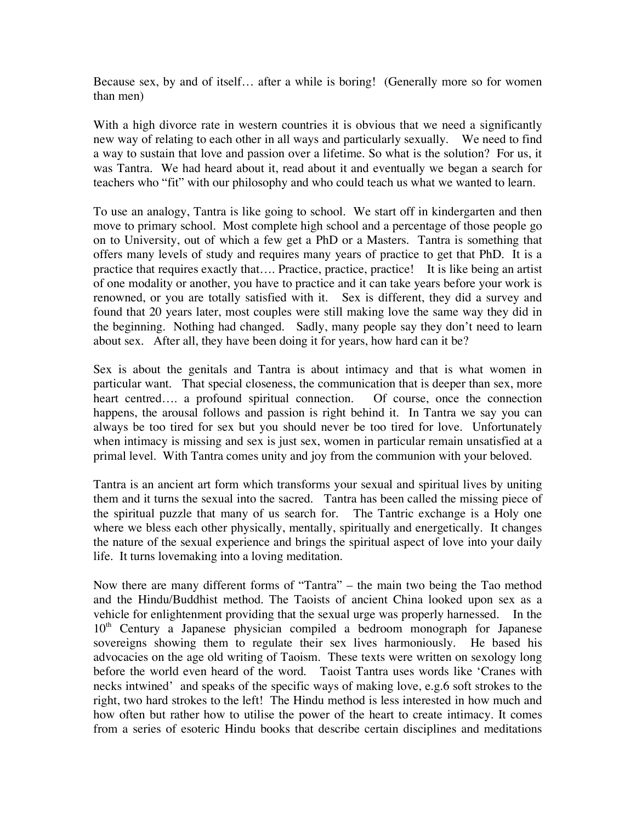Because sex, by and of itself… after a while is boring! (Generally more so for women than men)

With a high divorce rate in western countries it is obvious that we need a significantly new way of relating to each other in all ways and particularly sexually. We need to find a way to sustain that love and passion over a lifetime. So what is the solution? For us, it was Tantra. We had heard about it, read about it and eventually we began a search for teachers who "fit" with our philosophy and who could teach us what we wanted to learn.

To use an analogy, Tantra is like going to school. We start off in kindergarten and then move to primary school. Most complete high school and a percentage of those people go on to University, out of which a few get a PhD or a Masters. Tantra is something that offers many levels of study and requires many years of practice to get that PhD. It is a practice that requires exactly that…. Practice, practice, practice! It is like being an artist of one modality or another, you have to practice and it can take years before your work is renowned, or you are totally satisfied with it. Sex is different, they did a survey and found that 20 years later, most couples were still making love the same way they did in the beginning. Nothing had changed. Sadly, many people say they don't need to learn about sex. After all, they have been doing it for years, how hard can it be?

Sex is about the genitals and Tantra is about intimacy and that is what women in particular want. That special closeness, the communication that is deeper than sex, more heart centred…. a profound spiritual connection. Of course, once the connection happens, the arousal follows and passion is right behind it. In Tantra we say you can always be too tired for sex but you should never be too tired for love. Unfortunately when intimacy is missing and sex is just sex, women in particular remain unsatisfied at a primal level. With Tantra comes unity and joy from the communion with your beloved.

Tantra is an ancient art form which transforms your sexual and spiritual lives by uniting them and it turns the sexual into the sacred. Tantra has been called the missing piece of the spiritual puzzle that many of us search for. The Tantric exchange is a Holy one where we bless each other physically, mentally, spiritually and energetically. It changes the nature of the sexual experience and brings the spiritual aspect of love into your daily life. It turns lovemaking into a loving meditation.

Now there are many different forms of "Tantra" – the main two being the Tao method and the Hindu/Buddhist method. The Taoists of ancient China looked upon sex as a vehicle for enlightenment providing that the sexual urge was properly harnessed. In the  $10<sup>th</sup>$  Century a Japanese physician compiled a bedroom monograph for Japanese sovereigns showing them to regulate their sex lives harmoniously. He based his advocacies on the age old writing of Taoism. These texts were written on sexology long before the world even heard of the word. Taoist Tantra uses words like 'Cranes with necks intwined' and speaks of the specific ways of making love, e.g.6 soft strokes to the right, two hard strokes to the left! The Hindu method is less interested in how much and how often but rather how to utilise the power of the heart to create intimacy. It comes from a series of esoteric Hindu books that describe certain disciplines and meditations